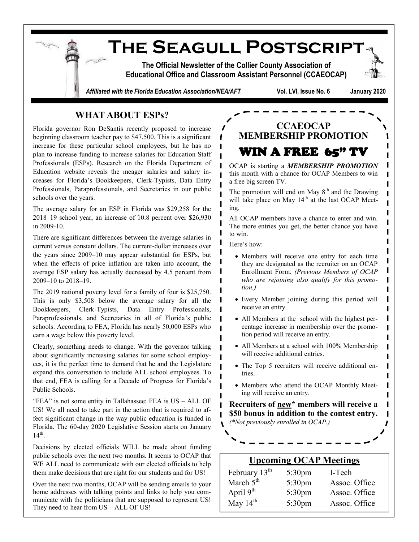**The Seagull Postscript The Official Newsletter of the Collier County Association of Educational Office and Classroom Assistant Personnel (CCAEOCAP)** *Affiliated with the Florida Education Association/NEA/AFT* **Vol. LVI, Issue No. 6 January 2020**

## **WHAT ABOUT ESPs?**

Florida governor Ron DeSantis recently proposed to increase beginning classroom teacher pay to \$47,500. This is a significant increase for these particular school employees, but he has no plan to increase funding to increase salaries for Education Staff Professionals (ESPs). Research on the Florida Department of Education website reveals the meager salaries and salary increases for Florida's Bookkeepers, Clerk-Typists, Data Entry Professionals, Paraprofessionals, and Secretaries in our public schools over the years.

The average salary for an ESP in Florida was \$29,258 for the 2018‒19 school year, an increase of 10.8 percent over \$26,930 in 2009-10.

There are significant differences between the average salaries in current versus constant dollars. The current-dollar increases over the years since 2009–10 may appear substantial for ESPs, but when the effects of price inflation are taken into account, the average ESP salary has actually decreased by 4.5 percent from 2009–10 to 2018–19.

The 2019 national poverty level for a family of four is \$25,750. This is only \$3,508 below the average salary for all the Bookkeepers, Clerk-Typists, Data Entry Professionals, Paraprofessionals, and Secretaries in all of Florida's public schools. According to FEA, Florida has nearly 50,000 ESPs who earn a wage below this poverty level.

Clearly, something needs to change. With the governor talking about significantly increasing salaries for some school employees, it is the perfect time to demand that he and the Legislature expand this conversation to include ALL school employees. To that end, FEA is calling for a Decade of Progress for Florida's Public Schools.

"FEA" is not some entity in Tallahassee; FEA is US – ALL OF US! We all need to take part in the action that is required to affect significant change in the way public education is funded in Florida. The 60-day 2020 Legislative Session starts on January  $14<sup>th</sup>$ .

Decisions by elected officials WILL be made about funding public schools over the next two months. It seems to OCAP that WE ALL need to communicate with our elected officials to help them make decisions that are right for our students and for US!

Over the next two months, OCAP will be sending emails to your home addresses with talking points and links to help you communicate with the politicians that are supposed to represent US! They need to hear from US – ALL OF US!

# **CCAEOCAP MEMBERSHIP PROMOTION**

OCAP is starting a *MEMBERSHIP PROMOTION* this month with a chance for OCAP Members to win a free big screen TV.

L L

 $\mathbf{I}$ 

П

L L

Ш I

I

WIN A FREE 65" TV

The promotion will end on May  $8<sup>th</sup>$  and the Drawing will take place on May 14<sup>th</sup> at the last OCAP Meeting.

All OCAP members have a chance to enter and win. The more entries you get, the better chance you have to win.

Here's how:

- Members will receive one entry for each time they are designated as the recruiter on an OCAP Enrollment Form. *(Previous Members of OCAP who are rejoining also qualify for this promotion.)*
- Every Member joining during this period will receive an entry.
- All Members at the school with the highest percentage increase in membership over the promotion period will receive an entry.
- All Members at a school with 100% Membership will receive additional entries.
- The Top 5 recruiters will receive additional entries.
- Members who attend the OCAP Monthly Meeting will receive an entry.

**Recruiters of new\* members will receive a \$50 bonus in addition to the contest entry.**  *(\*Not previously enrolled in OCAP.)*

### **Upcoming OCAP Meetings**

| February 13 <sup>th</sup> | 5:30 <sub>pm</sub> | I-Tech        |
|---------------------------|--------------------|---------------|
| March $5th$               | $5:30$ pm          | Assoc. Office |
| April $9th$               | $5:30$ pm          | Assoc. Office |
| May $14th$                | 5:30 <sub>pm</sub> | Assoc. Office |